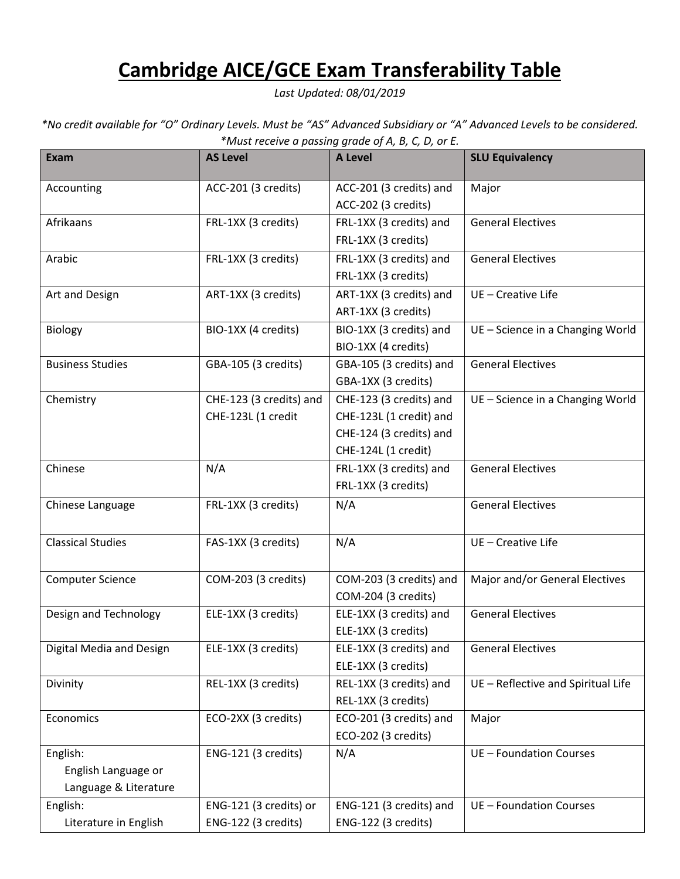## **Cambridge AICE/GCE Exam Transferability Table**

*Last Updated: 08/01/2019*

*\*No credit available for "O" Ordinary Levels. Must be "AS" Advanced Subsidiary or "A" Advanced Levels to be considered. \*Must receive a passing grade of A, B, C, D, or E.*

| <b>Exam</b>              | <b>AS Level</b>         | , ., ., ., .,<br>A Level                       | <b>SLU Equivalency</b>             |
|--------------------------|-------------------------|------------------------------------------------|------------------------------------|
| Accounting               | ACC-201 (3 credits)     | ACC-201 (3 credits) and                        | Major                              |
|                          |                         | ACC-202 (3 credits)                            |                                    |
| Afrikaans                | FRL-1XX (3 credits)     | FRL-1XX (3 credits) and                        | <b>General Electives</b>           |
|                          |                         | FRL-1XX (3 credits)                            |                                    |
| Arabic                   | FRL-1XX (3 credits)     | FRL-1XX (3 credits) and                        | <b>General Electives</b>           |
|                          |                         | FRL-1XX (3 credits)                            |                                    |
| Art and Design           | ART-1XX (3 credits)     | ART-1XX (3 credits) and                        | UE - Creative Life                 |
|                          |                         | ART-1XX (3 credits)                            |                                    |
| Biology                  | BIO-1XX (4 credits)     | BIO-1XX (3 credits) and                        | UE - Science in a Changing World   |
|                          |                         | BIO-1XX (4 credits)                            |                                    |
| <b>Business Studies</b>  | GBA-105 (3 credits)     | GBA-105 (3 credits) and                        | <b>General Electives</b>           |
|                          |                         | GBA-1XX (3 credits)                            |                                    |
| Chemistry                | CHE-123 (3 credits) and | CHE-123 (3 credits) and                        | UE - Science in a Changing World   |
|                          | CHE-123L (1 credit      | CHE-123L (1 credit) and                        |                                    |
|                          |                         | CHE-124 (3 credits) and                        |                                    |
|                          |                         | CHE-124L (1 credit)                            |                                    |
| Chinese                  | N/A                     | FRL-1XX (3 credits) and                        | <b>General Electives</b>           |
|                          |                         | FRL-1XX (3 credits)                            |                                    |
| Chinese Language         | FRL-1XX (3 credits)     | N/A                                            | <b>General Electives</b>           |
| <b>Classical Studies</b> | FAS-1XX (3 credits)     | N/A                                            | UE - Creative Life                 |
| <b>Computer Science</b>  | COM-203 (3 credits)     | COM-203 (3 credits) and<br>COM-204 (3 credits) | Major and/or General Electives     |
| Design and Technology    | ELE-1XX (3 credits)     | ELE-1XX (3 credits) and                        | <b>General Electives</b>           |
|                          |                         | ELE-1XX (3 credits)                            |                                    |
| Digital Media and Design | ELE-1XX (3 credits)     | ELE-1XX (3 credits) and                        | <b>General Electives</b>           |
|                          |                         | ELE-1XX (3 credits)                            |                                    |
| Divinity                 | REL-1XX (3 credits)     | REL-1XX (3 credits) and                        | UE - Reflective and Spiritual Life |
|                          |                         | REL-1XX (3 credits)                            |                                    |
| Economics                | ECO-2XX (3 credits)     | ECO-201 (3 credits) and                        | Major                              |
|                          |                         | ECO-202 (3 credits)                            |                                    |
| English:                 | ENG-121 (3 credits)     | N/A                                            | UE - Foundation Courses            |
| English Language or      |                         |                                                |                                    |
| Language & Literature    |                         |                                                |                                    |
| English:                 | ENG-121 (3 credits) or  | ENG-121 (3 credits) and                        | UE - Foundation Courses            |
| Literature in English    | ENG-122 (3 credits)     | ENG-122 (3 credits)                            |                                    |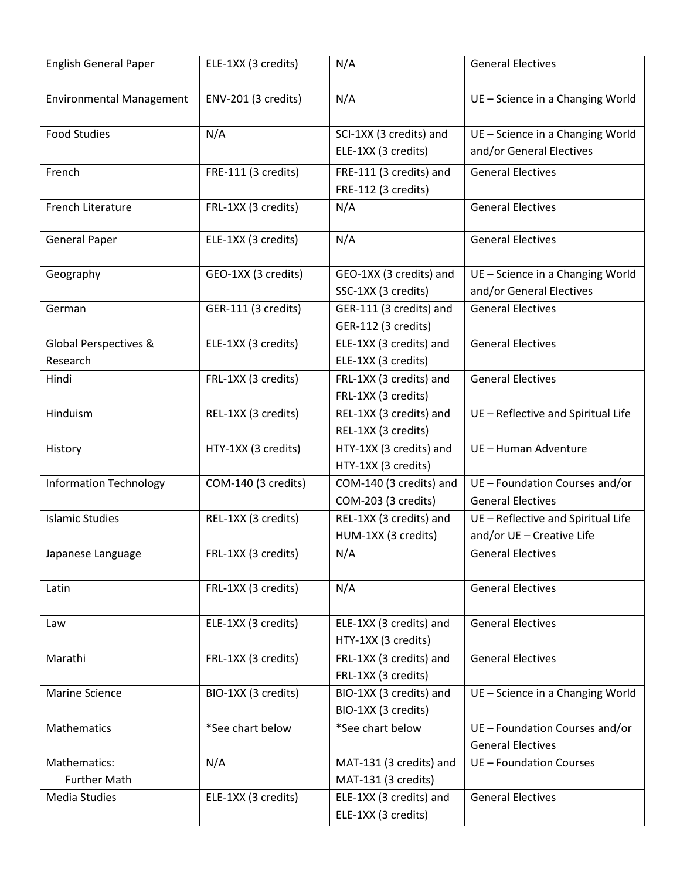| <b>English General Paper</b>    | ELE-1XX (3 credits) | N/A                     | <b>General Electives</b>           |
|---------------------------------|---------------------|-------------------------|------------------------------------|
| <b>Environmental Management</b> | ENV-201 (3 credits) | N/A                     | UE - Science in a Changing World   |
| <b>Food Studies</b>             | N/A                 | SCI-1XX (3 credits) and | UE - Science in a Changing World   |
|                                 |                     | ELE-1XX (3 credits)     | and/or General Electives           |
| French                          | FRE-111 (3 credits) | FRE-111 (3 credits) and | <b>General Electives</b>           |
|                                 |                     | FRE-112 (3 credits)     |                                    |
| French Literature               | FRL-1XX (3 credits) | N/A                     | <b>General Electives</b>           |
| <b>General Paper</b>            | ELE-1XX (3 credits) | N/A                     | <b>General Electives</b>           |
| Geography                       | GEO-1XX (3 credits) | GEO-1XX (3 credits) and | UE - Science in a Changing World   |
|                                 |                     | SSC-1XX (3 credits)     | and/or General Electives           |
| German                          | GER-111 (3 credits) | GER-111 (3 credits) and | <b>General Electives</b>           |
|                                 |                     | GER-112 (3 credits)     |                                    |
| Global Perspectives &           | ELE-1XX (3 credits) | ELE-1XX (3 credits) and | <b>General Electives</b>           |
| Research                        |                     | ELE-1XX (3 credits)     |                                    |
| Hindi                           | FRL-1XX (3 credits) | FRL-1XX (3 credits) and | <b>General Electives</b>           |
|                                 |                     | FRL-1XX (3 credits)     |                                    |
| Hinduism                        | REL-1XX (3 credits) | REL-1XX (3 credits) and | UE - Reflective and Spiritual Life |
|                                 |                     | REL-1XX (3 credits)     |                                    |
| History                         | HTY-1XX (3 credits) | HTY-1XX (3 credits) and | UE - Human Adventure               |
|                                 |                     | HTY-1XX (3 credits)     |                                    |
| <b>Information Technology</b>   | COM-140 (3 credits) | COM-140 (3 credits) and | UE - Foundation Courses and/or     |
|                                 |                     | COM-203 (3 credits)     | <b>General Electives</b>           |
| <b>Islamic Studies</b>          | REL-1XX (3 credits) | REL-1XX (3 credits) and | UE - Reflective and Spiritual Life |
|                                 |                     | HUM-1XX (3 credits)     | and/or UE - Creative Life          |
| Japanese Language               | FRL-1XX (3 credits) | N/A                     | <b>General Electives</b>           |
| Latin                           | FRL-1XX (3 credits) | N/A                     | <b>General Electives</b>           |
| Law                             | ELE-1XX (3 credits) | ELE-1XX (3 credits) and | <b>General Electives</b>           |
|                                 |                     | HTY-1XX (3 credits)     |                                    |
| Marathi                         | FRL-1XX (3 credits) | FRL-1XX (3 credits) and | <b>General Electives</b>           |
|                                 |                     | FRL-1XX (3 credits)     |                                    |
| <b>Marine Science</b>           | BIO-1XX (3 credits) | BIO-1XX (3 credits) and | UE - Science in a Changing World   |
|                                 |                     | BIO-1XX (3 credits)     |                                    |
| Mathematics                     | *See chart below    | *See chart below        | UE - Foundation Courses and/or     |
|                                 |                     |                         | <b>General Electives</b>           |
| Mathematics:                    | N/A                 | MAT-131 (3 credits) and | UE - Foundation Courses            |
| <b>Further Math</b>             |                     | MAT-131 (3 credits)     |                                    |
| Media Studies                   | ELE-1XX (3 credits) | ELE-1XX (3 credits) and | <b>General Electives</b>           |
|                                 |                     | ELE-1XX (3 credits)     |                                    |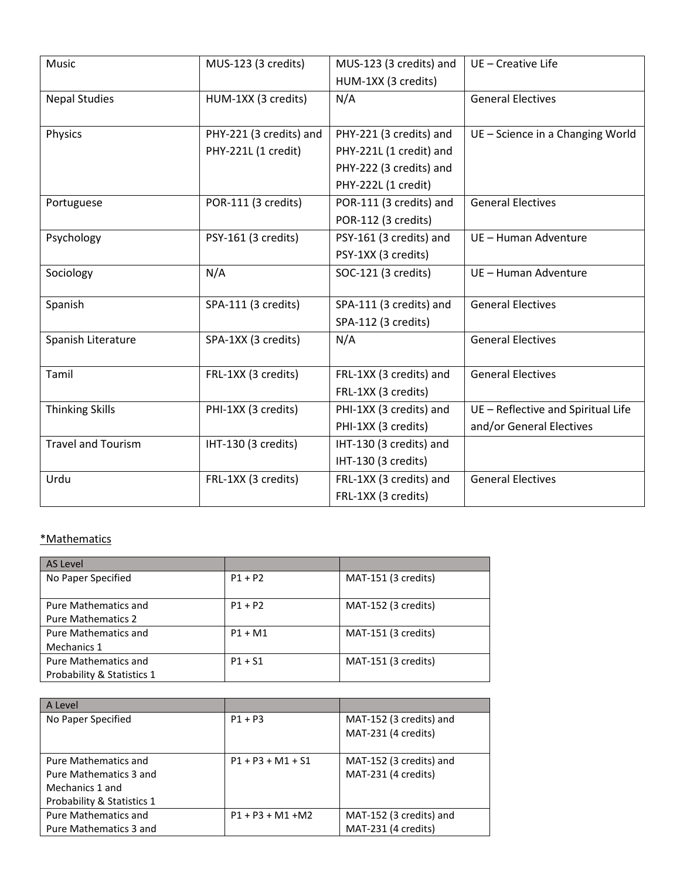| <b>Music</b>              | MUS-123 (3 credits)     | MUS-123 (3 credits) and | UE - Creative Life                 |
|---------------------------|-------------------------|-------------------------|------------------------------------|
|                           |                         | HUM-1XX (3 credits)     |                                    |
| <b>Nepal Studies</b>      | HUM-1XX (3 credits)     | N/A                     | <b>General Electives</b>           |
|                           |                         |                         |                                    |
| Physics                   | PHY-221 (3 credits) and | PHY-221 (3 credits) and | UE - Science in a Changing World   |
|                           | PHY-221L (1 credit)     | PHY-221L (1 credit) and |                                    |
|                           |                         | PHY-222 (3 credits) and |                                    |
|                           |                         | PHY-222L (1 credit)     |                                    |
| Portuguese                | POR-111 (3 credits)     | POR-111 (3 credits) and | <b>General Electives</b>           |
|                           |                         | POR-112 (3 credits)     |                                    |
| Psychology                | PSY-161 (3 credits)     | PSY-161 (3 credits) and | UE - Human Adventure               |
|                           |                         | PSY-1XX (3 credits)     |                                    |
| Sociology                 | N/A                     | SOC-121 (3 credits)     | UE - Human Adventure               |
|                           |                         |                         |                                    |
| Spanish                   | SPA-111 (3 credits)     | SPA-111 (3 credits) and | <b>General Electives</b>           |
|                           |                         | SPA-112 (3 credits)     |                                    |
| Spanish Literature        | SPA-1XX (3 credits)     | N/A                     | <b>General Electives</b>           |
|                           |                         |                         |                                    |
| Tamil                     | FRL-1XX (3 credits)     | FRL-1XX (3 credits) and | <b>General Electives</b>           |
|                           |                         | FRL-1XX (3 credits)     |                                    |
| <b>Thinking Skills</b>    | PHI-1XX (3 credits)     | PHI-1XX (3 credits) and | UE - Reflective and Spiritual Life |
|                           |                         | PHI-1XX (3 credits)     | and/or General Electives           |
| <b>Travel and Tourism</b> | IHT-130 (3 credits)     | IHT-130 (3 credits) and |                                    |
|                           |                         | IHT-130 (3 credits)     |                                    |
| Urdu                      | FRL-1XX (3 credits)     | FRL-1XX (3 credits) and | <b>General Electives</b>           |
|                           |                         | FRL-1XX (3 credits)     |                                    |

## \*Mathematics

| <b>AS Level</b>             |           |                     |
|-----------------------------|-----------|---------------------|
| No Paper Specified          | $P1 + P2$ | MAT-151 (3 credits) |
|                             |           |                     |
| <b>Pure Mathematics and</b> | $P1 + P2$ | MAT-152 (3 credits) |
| <b>Pure Mathematics 2</b>   |           |                     |
| <b>Pure Mathematics and</b> | $P1 + M1$ | MAT-151 (3 credits) |
| Mechanics 1                 |           |                     |
| Pure Mathematics and        | $P1 + S1$ | MAT-151 (3 credits) |
| Probability & Statistics 1  |           |                     |

| A Level                    |                     |                                                |
|----------------------------|---------------------|------------------------------------------------|
| No Paper Specified         | $P1 + P3$           | MAT-152 (3 credits) and<br>MAT-231 (4 credits) |
|                            |                     |                                                |
| Pure Mathematics and       | $P1 + P3 + M1 + S1$ | MAT-152 (3 credits) and                        |
| Pure Mathematics 3 and     |                     | MAT-231 (4 credits)                            |
| Mechanics 1 and            |                     |                                                |
| Probability & Statistics 1 |                     |                                                |
| Pure Mathematics and       | $P1 + P3 + M1 + M2$ | MAT-152 (3 credits) and                        |
| Pure Mathematics 3 and     |                     | MAT-231 (4 credits)                            |